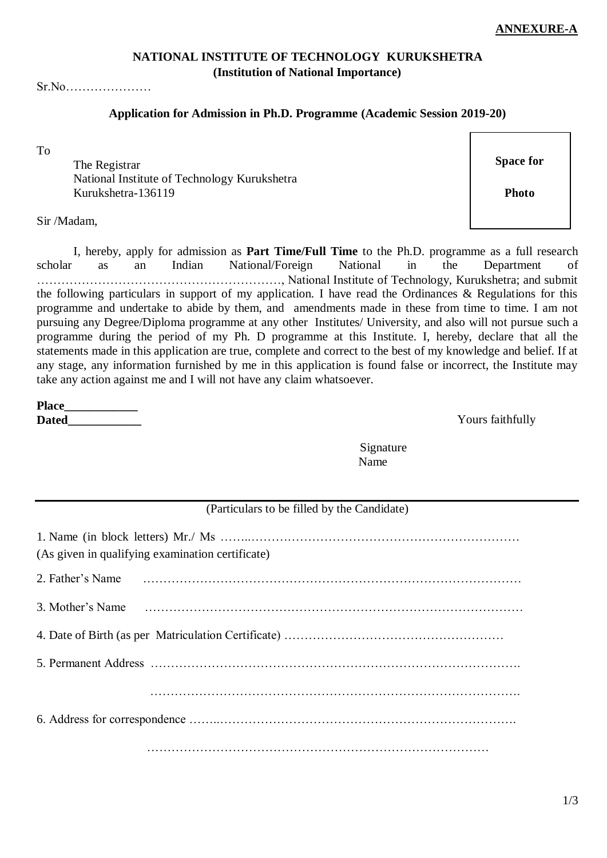1/3

### **NATIONAL INSTITUTE OF TECHNOLOGY KURUKSHETRA (Institution of National Importance)**

### Sr.No…………………

### **Application for Admission in Ph.D. Programme (Academic Session 2019-20)**

To

The Registrar **Space for** Space for National Institute of Technology Kurukshetra Kurukshetra-136119

Sir /Madam,

I, hereby, apply for admission as **Part Time/Full Time** to the Ph.D. programme as a full research scholar as an Indian National/Foreign National in the Department of ……………………………………………………, National Institute of Technology, Kurukshetra; and submit the following particulars in support of my application. I have read the Ordinances & Regulations for this programme and undertake to abide by them, and amendments made in these from time to time. I am not pursuing any Degree/Diploma programme at any other Institutes/ University, and also will not pursue such a programme during the period of my Ph. D programme at this Institute. I, hereby, declare that all the statements made in this application are true, complete and correct to the best of my knowledge and belief. If at any stage, any information furnished by me in this application is found false or incorrect, the Institute may take any action against me and I will not have any claim whatsoever.

**Place\_\_\_\_\_\_\_\_\_\_\_\_ Dated** Yours faithfully

> Signature Name

# (Particulars to be filled by the Candidate)

| (As given in qualifying examination certificate) |  |  |  |  |  |
|--------------------------------------------------|--|--|--|--|--|
|                                                  |  |  |  |  |  |
| 3. Mother's Name                                 |  |  |  |  |  |
|                                                  |  |  |  |  |  |
|                                                  |  |  |  |  |  |
|                                                  |  |  |  |  |  |
|                                                  |  |  |  |  |  |
|                                                  |  |  |  |  |  |

**Photo**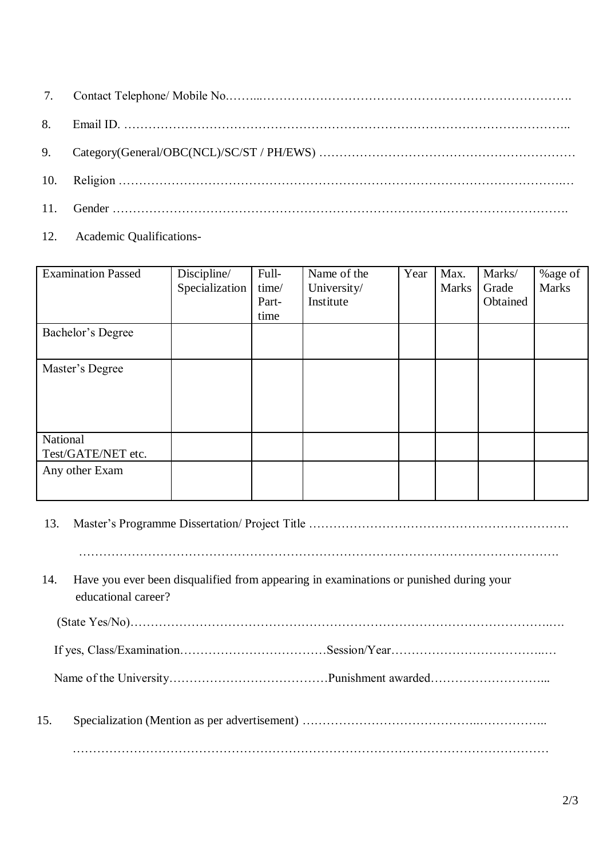12. Academic Qualifications-

| <b>Examination Passed</b>      | Discipline/<br>Specialization | Full-<br>time/<br>Part-<br>time | Name of the<br>University/<br>Institute | Year | Max.<br><b>Marks</b> | Marks/<br>Grade<br>Obtained | %age of<br><b>Marks</b> |
|--------------------------------|-------------------------------|---------------------------------|-----------------------------------------|------|----------------------|-----------------------------|-------------------------|
| Bachelor's Degree              |                               |                                 |                                         |      |                      |                             |                         |
| Master's Degree                |                               |                                 |                                         |      |                      |                             |                         |
| National<br>Test/GATE/NET etc. |                               |                                 |                                         |      |                      |                             |                         |
| Any other Exam                 |                               |                                 |                                         |      |                      |                             |                         |

13. Master's Programme Dissertation/ Project Title ………………………………………………………. ………………………………………………………………………………………………………. 14. Have you ever been disqualified from appearing in examinations or punished during your educational career? (State Yes/No)………………………………………………………………………………………….…. If yes, Class/Examination………………………………Session/Year………………………………..… Name of the University…………………………………Punishment awarded………………………... 15. Specialization (Mention as per advertisement) ……………………………………..…………….. ………………………………………………………………………………………………………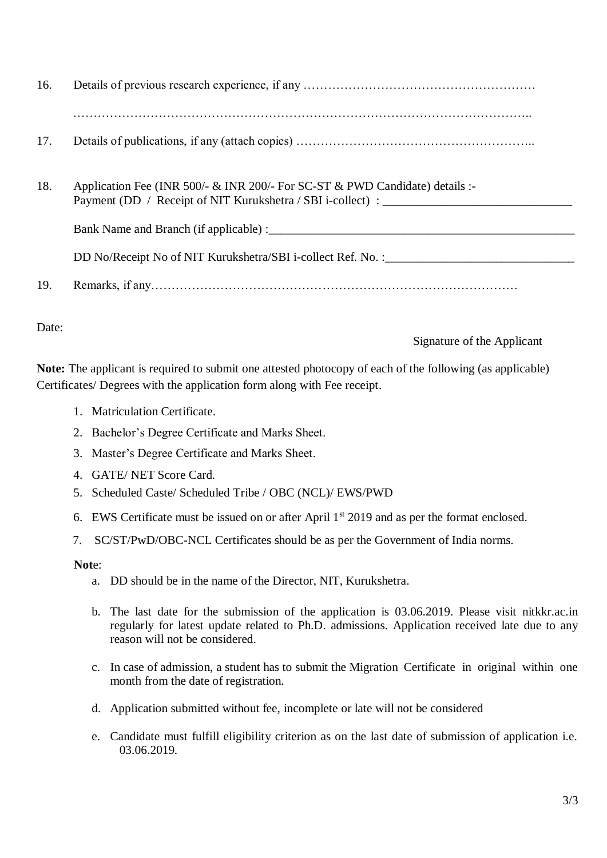| 16. |                                                                                                                                             |
|-----|---------------------------------------------------------------------------------------------------------------------------------------------|
| 17. |                                                                                                                                             |
|     |                                                                                                                                             |
| 18. | Application Fee (INR 500/- & INR 200/- For SC-ST & PWD Candidate) details :-<br>Payment (DD / Receipt of NIT Kurukshetra / SBI i-collect) : |
|     |                                                                                                                                             |
|     | DD No/Receipt No of NIT Kurukshetra/SBI i-collect Ref. No. : ____________________                                                           |
| 19. |                                                                                                                                             |

Date:

Signature of the Applicant

**Note:** The applicant is required to submit one attested photocopy of each of the following (as applicable) Certificates/ Degrees with the application form along with Fee receipt.

- 1. Matriculation Certificate.
- 2. Bachelor's Degree Certificate and Marks Sheet.
- 3. Master's Degree Certificate and Marks Sheet.
- 4. GATE/ NET Score Card.
- 5. Scheduled Caste/ Scheduled Tribe / OBC (NCL)/ EWS/PWD
- 6. EWS Certificate must be issued on or after April  $1<sup>st</sup>$  2019 and as per the format enclosed.
- 7. SC/ST/PwD/OBC-NCL Certificates should be as per the Government of India norms.

**Not**e:

- a. DD should be in the name of the Director, NIT, Kurukshetra.
- b. The last date for the submission of the application is 03.06.2019. Please visit nitkkr.ac.in regularly for latest update related to Ph.D. admissions. Application received late due to any reason will not be considered.
- c. In case of admission, a student has to submit the Migration Certificate in original within one month from the date of registration.
- d. Application submitted without fee, incomplete or late will not be considered
- e. Candidate must fulfill eligibility criterion as on the last date of submission of application i.e. 03.06.2019.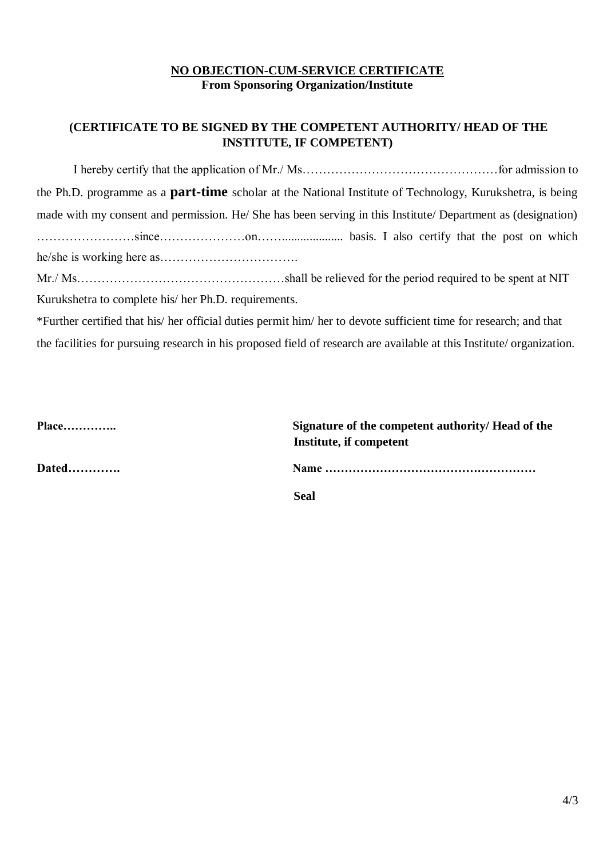### **NO OBJECTION-CUM-SERVICE CERTIFICATE From Sponsoring Organization/Institute**

## **(CERTIFICATE TO BE SIGNED BY THE COMPETENT AUTHORITY/ HEAD OF THE INSTITUTE, IF COMPETENT)**

I hereby certify that the application of Mr./ Ms…………………………………………for admission to the Ph.D. programme as a **part-time** scholar at the National Institute of Technology, Kurukshetra, is being made with my consent and permission. He/ She has been serving in this Institute/ Department as (designation) ……………………since…………………on…….................... basis. I also certify that the post on which he/she is working here as…………………………….

Mr./ Ms……………………………………………shall be relieved for the period required to be spent at NIT Kurukshetra to complete his/ her Ph.D. requirements.

\*Further certified that his/ her official duties permit him/ her to devote sufficient time for research; and that the facilities for pursuing research in his proposed field of research are available at this Institute/ organization.

| Place        | Signature of the competent authority/ Head of the<br>Institute, if competent |
|--------------|------------------------------------------------------------------------------|
| <b>Dated</b> |                                                                              |
|              | <b>Seal</b>                                                                  |